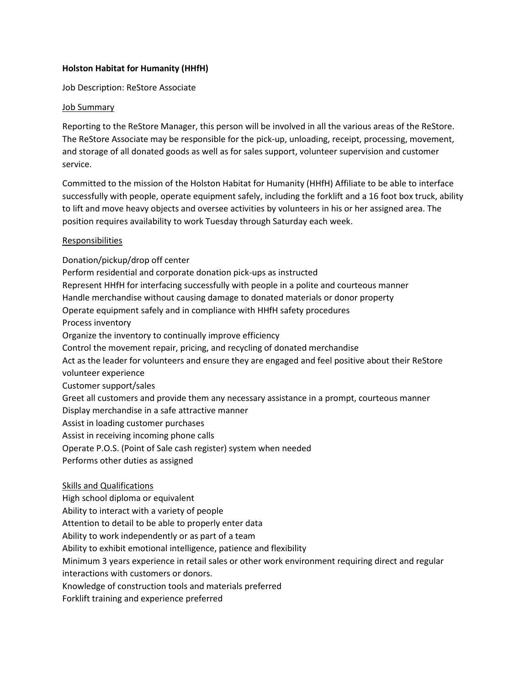# **Holston Habitat for Humanity (HHfH)**

Job Description: ReStore Associate

## Job Summary

Reporting to the ReStore Manager, this person will be involved in all the various areas of the ReStore. The ReStore Associate may be responsible for the pick-up, unloading, receipt, processing, movement, and storage of all donated goods as well as for sales support, volunteer supervision and customer service.

Committed to the mission of the Holston Habitat for Humanity (HHfH) Affiliate to be able to interface successfully with people, operate equipment safely, including the forklift and a 16 foot box truck, ability to lift and move heavy objects and oversee activities by volunteers in his or her assigned area. The position requires availability to work Tuesday through Saturday each week.

# Responsibilities

Donation/pickup/drop off center

Perform residential and corporate donation pick-ups as instructed

Represent HHfH for interfacing successfully with people in a polite and courteous manner

Handle merchandise without causing damage to donated materials or donor property

Operate equipment safely and in compliance with HHfH safety procedures

Process inventory

Organize the inventory to continually improve efficiency

Control the movement repair, pricing, and recycling of donated merchandise

Act as the leader for volunteers and ensure they are engaged and feel positive about their ReStore volunteer experience

Customer support/sales

Greet all customers and provide them any necessary assistance in a prompt, courteous manner

Display merchandise in a safe attractive manner

Assist in loading customer purchases

Assist in receiving incoming phone calls

Operate P.O.S. (Point of Sale cash register) system when needed

Performs other duties as assigned

## Skills and Qualifications

High school diploma or equivalent

Ability to interact with a variety of people

Attention to detail to be able to properly enter data

Ability to work independently or as part of a team

Ability to exhibit emotional intelligence, patience and flexibility

Minimum 3 years experience in retail sales or other work environment requiring direct and regular interactions with customers or donors.

Knowledge of construction tools and materials preferred

Forklift training and experience preferred